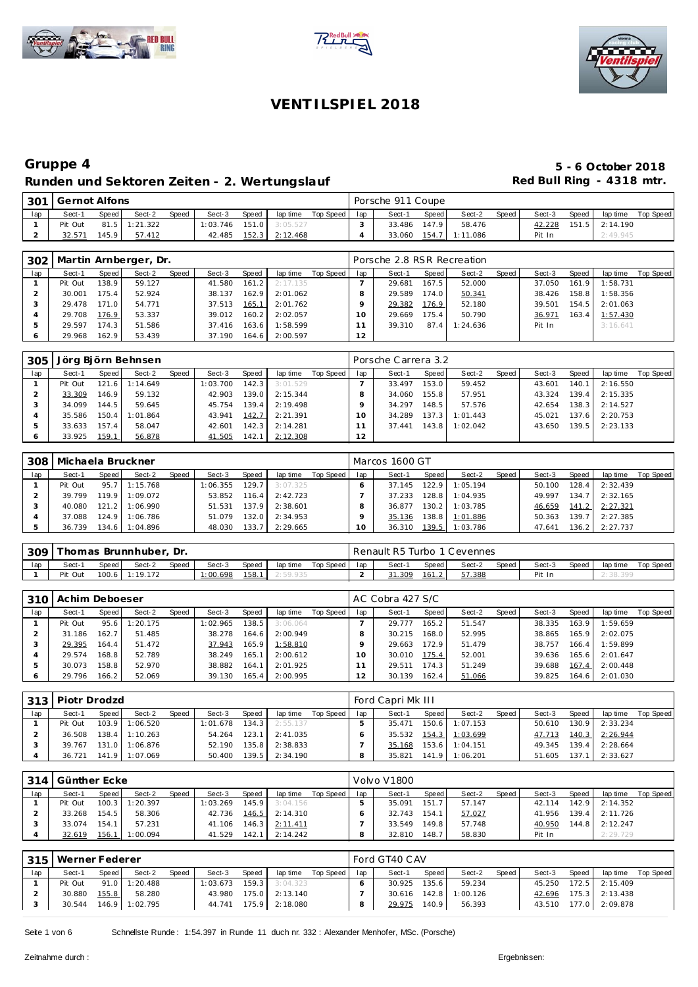





### **Gruppe 4 5 - 6 October 2018** Runden und Sektoren Zeiten - 2. Wertungslauf **Red Bull Ring - 4318 mtr.**

|     | 301 Gernot Alfons |       |               |              |        |       |                               |                 | Porsche 911 Coupe |       |          |       |        |       |                  |           |
|-----|-------------------|-------|---------------|--------------|--------|-------|-------------------------------|-----------------|-------------------|-------|----------|-------|--------|-------|------------------|-----------|
| lap | Sect-1            | Speed | Sect-2        | <b>Speed</b> | Sect-3 | Speed | lap time                      | Top Speed   lap | Sect-1            | Speed | Sect-2   | Speed | Sect-3 | Speed | lap time         | Top Speed |
|     | Pit Out           |       | 81.5 1:21.322 |              |        |       | $1:03.746$ $151.0$ $3:05.527$ |                 | 33.486            | 147.9 | 58.476   |       | 42.228 |       | $151.5$ 2:14.190 |           |
|     | 32.571            | 145.9 | 57.412        |              | 42.485 | 152.3 | 2:12.468                      |                 | 33.060            | 154.7 | 1:11.086 |       | Pit In |       | 2:49.945         |           |

| 302 |         |         | Martin Arnberger, Dr. |       |        |                    |          |           |     | Porsche 2.8 RSR Recreation |       |          |       |        |       |          |           |
|-----|---------|---------|-----------------------|-------|--------|--------------------|----------|-----------|-----|----------------------------|-------|----------|-------|--------|-------|----------|-----------|
| lap | Sect-1  | Speed   | Sect-2                | Speed | Sect-3 | Speed              | lap time | Top Speed | lap | Sect-1                     | Speed | Sect-2   | Speed | Sect-3 | Speed | lap time | Top Speed |
|     | Pit Out | 138.9   | 59.127                |       | 41.580 | 161.2              | 2:17.135 |           |     | 29.681                     | 167.5 | 52.000   |       | 37.050 | 161.9 | 1:58.731 |           |
|     | 30.001  | 175.4   | 52.924                |       | 38.137 | 162.9              | 2:01.062 |           |     | 29.589                     | 174.0 | 50.341   |       | 38.426 | 158.8 | 1:58.356 |           |
|     | 29.478  | 171.O I | 54.771                |       | 37.513 | 165.1              | 2:01.762 |           |     | 29.382                     | 176.9 | 52.180   |       | 39.501 | 154.5 | 2:01.063 |           |
|     | 29.708  | 176.9   | 53.337                |       | 39.012 | 160.2              | 2:02.057 |           | 10  | 29.669                     | 175.4 | 50.790   |       | 36.971 | 163.4 | 1:57.430 |           |
|     | 29.597  | 174.3   | 51.586                |       | 37.416 | 163.6 <sub>1</sub> | 1:58.599 |           |     | 39.310                     | 87.4  | 1:24.636 |       | Pit In |       | 3:16.641 |           |
| O   | 29.968  | 162.9   | 53.439                |       | 37.190 | 164.6              | 2:00.597 |           | 12  |                            |       |          |       |        |       |          |           |

| 305 |         |       | Jörg Björn Behnsen |       |          |       |          |           |     | Porsche Carrera 3.2 |       |          |       |        |       |          |           |
|-----|---------|-------|--------------------|-------|----------|-------|----------|-----------|-----|---------------------|-------|----------|-------|--------|-------|----------|-----------|
| lap | Sect-1  | Speed | Sect-2             | Speed | Sect-3   | Speed | lap time | Top Speed | lap | Sect-1              | Speed | Sect-2   | Speed | Sect-3 | Speed | lap time | Top Speed |
|     | Pit Out |       | 121.6 1:14.649     |       | 1:03.700 | 142.3 | 3:01.529 |           |     | 33.497              | 153.0 | 59.452   |       | 43.601 | 140.1 | 2:16.550 |           |
|     | 33.309  | 146.9 | 59.132             |       | 42.903   | 139.0 | 2:15.344 |           |     | 34.060              | 155.8 | 57.951   |       | 43.324 | 139.4 | 2:15.335 |           |
|     | 34.099  | 144.5 | 59.645             |       | 45.754   | 139.4 | 2:19.498 |           |     | 34.297              | 148.5 | 57.576   |       | 42.654 | 138.3 | 2:14.527 |           |
|     | 35.586  | 150.4 | 1:01.864           |       | 43.941   | 142.7 | 2:21.391 |           |     | 34.289              | 137.3 | 1:01.443 |       | 45.021 | 137.6 | 2:20.753 |           |
|     | 33.633  | 157.4 | 58.047             |       | 42.601   | 142.3 | 2:14.281 |           |     | 37.441              | 143.8 | 1:02.042 |       | 43.650 | 139.5 | 2:23.133 |           |
|     | 33.925  | 159.1 | 56.878             |       | 41.505   | 142.1 | 2:12.308 |           | 12  |                     |       |          |       |        |       |          |           |

| 308 | Michaela Bruckner |       |                |       |          |        |          |           |     | Marcos 1600 GT |        |          |       |        |       |                  |           |
|-----|-------------------|-------|----------------|-------|----------|--------|----------|-----------|-----|----------------|--------|----------|-------|--------|-------|------------------|-----------|
| lap | Sect-1            | Speed | Sect-2         | Speed | Sect-3   | Speed  | lap time | Top Speed | lap | Sect-1         | Speed  | Sect-2   | Speed | Sect-3 | Speed | lap time         | Top Speed |
|     | Pit Out           |       | 95.7 1:15.768  |       | 1:06.355 | 129.7  | 3:07.325 |           |     | 37.145         | 122.9  | 1:05.194 |       | 50.100 | 128.4 | 2:32.439         |           |
|     | 39.799            |       | 119.9 1:09.072 |       | 53.852   | 116.4  | 2:42.723 |           |     | 37.233         | 128.8  | 1:04.935 |       | 49.997 |       | 134.7 2:32.165   |           |
|     | 40.080            |       | 121.2 1:06.990 |       | 51.531   | 137.91 | 2:38.601 |           |     | 36.877         | 130.21 | 1:03.785 |       | 46.659 |       | 141.2 2:27.321   |           |
|     | 37.088            |       | 124.9 1:06.786 |       | 51.079   | 132.0  | 2:34.953 |           |     | 35.136         | 138.8  | 1:01.886 |       | 50.363 |       | 139.7 2:27.385   |           |
|     | 36.739            |       | 134.6 1:04.896 |       | 48.030   | 133.7  | 2:29.665 |           |     | 36.310         | 139.5  | 1:03.786 |       | 47.641 |       | $136.2$ 2:27.737 |           |

| 309 |         |       | [homas Brunnhuber, Dr. |              |         |       |          |           |     | Renault R5 Turbo 1 Cevennes |       |        |       |        |       |          |           |
|-----|---------|-------|------------------------|--------------|---------|-------|----------|-----------|-----|-----------------------------|-------|--------|-------|--------|-------|----------|-----------|
| lap | Sect-1  | Speed | Sect-2                 | <b>Speed</b> | Sect-3  | Speed | lap time | Top Speed | lap | Sect-1                      | Speed | Sect-2 | Speed | Sect-3 | Speed | lap time | Top Speed |
|     | Pit Out |       | 100.6 1:19.172         |              | :00.698 | 158.1 | 2:59.935 |           |     | 31.309                      | 161.2 | 57.388 |       | Pit In |       |          |           |

| 310 l | Achim Deboeser |       |          |       |          |       |          |           |     | AC Cobra 427 S/C |       |        |       |        |       |          |           |
|-------|----------------|-------|----------|-------|----------|-------|----------|-----------|-----|------------------|-------|--------|-------|--------|-------|----------|-----------|
| lap   | Sect-1         | Speed | Sect-2   | Speed | Sect-3   | Speed | lap time | Top Speed | lap | Sect-1           | Speed | Sect-2 | Speed | Sect-3 | Speed | lap time | Top Speed |
|       | Pit Out        | 95.6  | 1:20.175 |       | 1:02.965 | 138.5 | 3:06.064 |           |     | 29.777           | 165.2 | 51.547 |       | 38.335 | 163.9 | 1:59.659 |           |
|       | 31.186         | 162.7 | 51.485   |       | 38.278   | 164.6 | 2:00.949 |           |     | 30.215           | 168.0 | 52.995 |       | 38.865 | 165.9 | 2:02.075 |           |
|       | 29.395         | 164.4 | 51.472   |       | 37.943   | 165.9 | 1:58.810 |           |     | 29.663           | 172.9 | 51.479 |       | 38.757 | 166.4 | 1:59.899 |           |
|       | 29.574         | 168.8 | 52.789   |       | 38.249   | 165.1 | 2:00.612 |           |     | 30.010           | 175.4 | 52.001 |       | 39.636 | 165.6 | 2:01.647 |           |
|       | 30.073         | 158.8 | 52.970   |       | 38.882   | 164.1 | 2:01.925 |           |     | 29.511           | 174.3 | 51.249 |       | 39.688 | 167.4 | 2:00.448 |           |
|       | 29.796         | 166.2 | 52.069   |       | 39.130   | 165.4 | 2:00.995 |           | 12  | 30.139           | 162.4 | 51.066 |       | 39.825 | 164.6 | 2:01.030 |           |

| 3131 | I Piotr Drodzd |       |                  |       |          |       |          |             |     | Ford Capri Mk III |       |                |       |        |       |                |           |
|------|----------------|-------|------------------|-------|----------|-------|----------|-------------|-----|-------------------|-------|----------------|-------|--------|-------|----------------|-----------|
| lap  | Sect-1         | Speed | Sect-2           | Speed | Sect-3   | Speed | lap time | Top Speed I | lap | Sect-1            | Speed | Sect-2         | Speed | Sect-3 | Speed | lap time       | Top Speed |
|      | Pit Out        |       | 103.9 1:06.520   |       | 1:01.678 | 134.3 | 2:55.137 |             |     | 35.471            |       | 150.6 1:07.153 |       | 50.610 | 130.9 | 2:33.234       |           |
|      | 36.508         |       | $138.4$ 1:10.263 |       | 54.264   | 123.1 | 2:41.035 |             |     | 35.532            |       | 154.3 1:03.699 |       | 47.713 |       | 140.3 2:26.944 |           |
|      | 39.767         |       | $131.0$ 1:06.876 |       | 52.190   | 135.8 | 2:38.833 |             |     | 35.168            |       | 153.6 1:04.151 |       | 49.345 | 139.4 | 2:28.664       |           |
|      | 36.721         |       | 141.9 1:07.069   |       | 50.400   | 139.5 | 2:34.190 |             |     | 35.821            |       | 141.9 1:06.201 |       | 51.605 | 137.1 | 2:33.627       |           |

| 314 | Günther Ecke |       |                |       |          |       |          |           |     | - Volvo V1800 |       |        |       |        |         |          |           |
|-----|--------------|-------|----------------|-------|----------|-------|----------|-----------|-----|---------------|-------|--------|-------|--------|---------|----------|-----------|
| lap | Sect-1       | Speed | Sect-2         | Speed | Sect-3   | Speed | lap time | Top Speed | lap | Sect-1        | Speed | Sect-2 | Speed | Sect-3 | Speed   | lap time | Top Speed |
|     | Pit Out      |       | 100.3 1:20.397 |       | 1:03.269 | 145.9 | 3:04.156 |           |     | 35.091        | 151.7 | 57.147 |       | 42.114 | 142.9   | 2:14.352 |           |
|     | 33.268       | 154.5 | 58.306         |       | 42.736   | 146.5 | 2:14.310 |           |     | 32.743        | 154.1 | 57.027 |       | 41.956 | 139.4   | 2:11.726 |           |
|     | 33.074       | 154.1 | 57.231         |       | 41.106   | 146.3 | 2:11.411 |           |     | 33.549        | 149.8 | 57.748 |       | 40.950 | 144.8 I | 2:12.247 |           |
|     | 32.619       | 156.1 | 1:00.094       |       | 41.529   | 142.1 | 2:14.242 |           |     | 32.810        | 148.7 | 58.830 |       | Pit In |         | 2:29.729 |           |

| 315 | Werner Federer |       |                |       |          |       |                       |           |     | Ford GT40 CAV |       |                |       |        |       |                  |           |
|-----|----------------|-------|----------------|-------|----------|-------|-----------------------|-----------|-----|---------------|-------|----------------|-------|--------|-------|------------------|-----------|
| lap | Sect-1         | Speed | Sect-2         | Speed | Sect-3   | Speed | lap time              | Top Speed | lap | Sect-1        | Speed | Sect-2         | Speed | Sect-3 | Speed | lap time         | Top Speed |
|     | Pit Out        | 91.0  | 1:20.488       |       | 1:03.673 |       | $159.3$ 3:04.323      |           |     | 30.925        | 135.6 | 59.234         |       | 45.250 |       | $172.5$ 2:15.409 |           |
|     | 30.880         | 155.8 | 58.280         |       | 43.980   |       | 175.0 2:13.140        |           |     | 30.616        |       | 142.8 1:00.126 |       | 42.696 |       | $175.3$ 2:13.438 |           |
|     | 30.544         |       | 146.9 1:02.795 |       |          |       | 44.741 175.9 2:18.080 |           |     | 29.975        | 140.9 | 56.393         |       | 43.510 |       | 177.0 2:09.878   |           |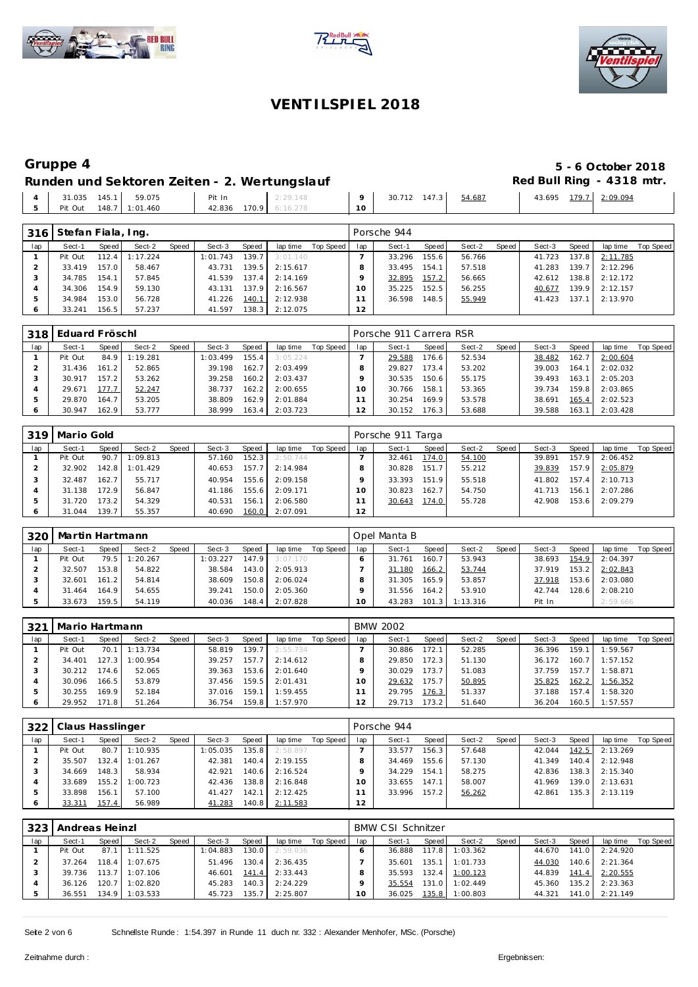





# **Gruppe 4 5 - 6 October 2018**

### Runden und Sektoren Zeiten - 2. Wertungslauf **Red Bull Ring - 4318 mtr.**

|                 |                |        |                |    |                     |        | --                                         |          |
|-----------------|----------------|--------|----------------|----|---------------------|--------|--------------------------------------------|----------|
| 31.035<br>145.1 | 59.075         | Pit In | 2:29.148       |    | 147.3<br>712<br>30. | 54.687 | 179.7<br>43.695<br>. <i>. .</i> . <i>.</i> | 2:09.094 |
| Pit Out         | 148.7 1:01.460 | 42.836 | 170.9 6:16.278 | 10 |                     |        |                                            |          |
|                 |                |        |                |    |                     |        |                                            |          |

| 316 | Stefan Fiala, Ing. |       |          |       |          |       |          |           |                 | Porsche 944 |       |        |       |        |       |          |           |
|-----|--------------------|-------|----------|-------|----------|-------|----------|-----------|-----------------|-------------|-------|--------|-------|--------|-------|----------|-----------|
| lap | Sect-1             | Speed | Sect-2   | Speed | Sect-3   | Speed | lap time | Top Speed | lap             | Sect-1      | Speed | Sect-2 | Speed | Sect-3 | Speed | lap time | Top Speed |
|     | Pit Out            | 112.4 | : 17.224 |       | 1:01.743 | 139.7 | 3:01.140 |           |                 | 33.296      | 155.6 | 56.766 |       | 41.723 | 137.8 | 2:11.785 |           |
|     | 33.419             | 157.0 | 58.467   |       | 43.731   | 139.5 | 2:15.617 |           |                 | 33.495      | 154.1 | 57.518 |       | 41.283 | 139.7 | 2:12.296 |           |
|     | 34.785             | 154.1 | 57.845   |       | 41.539   | 137.4 | 2:14.169 |           |                 | 32.895      | 157.2 | 56.665 |       | 42.612 | 138.8 | 2:12.172 |           |
|     | 34.306             | 154.9 | 59.130   |       | 43.131   | 137.9 | 2:16.567 |           | 10 <sup>°</sup> | 35.225      | 152.5 | 56.255 |       | 40.677 | 139.9 | 2:12.157 |           |
|     | 34.984             | 153.0 | 56.728   |       | 41.226   | 140.1 | 2:12.938 |           |                 | 36.598      | 148.5 | 55.949 |       | 41.423 | 137.1 | 2:13.970 |           |
| 6   | 33.241             | 156.5 | 57.237   |       | 41.597   | 138.3 | 2:12.075 |           | 12              |             |       |        |       |        |       |          |           |

| 318 | Eduard Fröschl |       |               |       |          |       |          |           |     | Porsche 911 Carrera RSR |       |        |       |        |       |          |           |
|-----|----------------|-------|---------------|-------|----------|-------|----------|-----------|-----|-------------------------|-------|--------|-------|--------|-------|----------|-----------|
| lap | Sect-1         | Speed | Sect-2        | Speed | Sect-3   | Speed | lap time | Top Speed | lap | Sect-1                  | Speed | Sect-2 | Speed | Sect-3 | Speed | lap time | Top Speed |
|     | Pit Out        |       | 84.9 1:19.281 |       | 1:03.499 | 155.4 | 3:05.224 |           |     | 29.588                  | 176.6 | 52.534 |       | 38.482 | 162.7 | 2:00.604 |           |
|     | 31.436         | 161.2 | 52.865        |       | 39.198   | 162.7 | 2:03.499 |           |     | 29.827                  | 173.4 | 53.202 |       | 39.003 | 164.1 | 2:02.032 |           |
|     | 30.917         | 157.2 | 53.262        |       | 39.258   | 160.2 | 2:03.437 |           |     | 30.535                  | 150.6 | 55.175 |       | 39.493 | 163.1 | 2:05.203 |           |
|     | 29.671         | 177.7 | 52.247        |       | 38.737   | 162.2 | 2:00.655 |           |     | 30.766                  | 158.1 | 53.365 |       | 39.734 | 159.8 | 2:03.865 |           |
|     | 29.870         | 164.7 | 53.205        |       | 38.809   | 162.9 | 2:01.884 |           |     | 30.254                  | 169.9 | 53.578 |       | 38.691 | 165.4 | 2:02.523 |           |
|     | 30.947         | 162.9 | 53.777        |       | 38.999   | 163.4 | 2:03.723 |           |     | 30.152                  | 176.3 | 53.688 |       | 39.588 | 163.1 | 2:03.428 |           |

|     | 319   Mario Gold |       |          |       |        |       |          |           |          | Porsche 911 Targa |        |        |       |        |       |          |           |
|-----|------------------|-------|----------|-------|--------|-------|----------|-----------|----------|-------------------|--------|--------|-------|--------|-------|----------|-----------|
| lap | Sect-1           | Speed | Sect-2   | Speed | Sect-3 | Speed | lap time | Top Speed | lap      | Sect-1            | Speed  | Sect-2 | Speed | Sect-3 | Speed | lap time | Top Speed |
|     | Pit Out          | 90.7  | 1:09.813 |       | 57.160 | 152.3 | 2:50.744 |           |          | 32.461            | 174.0  | 54.100 |       | 39.891 | 157.9 | 2:06.452 |           |
|     | 32.902           | 142.8 | 1:01.429 |       | 40.653 | 157.7 | 2:14.984 |           |          | 30.828            | 151.7  | 55.212 |       | 39.839 | 157.9 | 2:05.879 |           |
|     | 32.487           | 162.7 | 55.717   |       | 40.954 | 155.6 | 2:09.158 |           |          | 33.393            | 151.9  | 55.518 |       | 41.802 | 157.4 | 2:10.713 |           |
|     | 31.138           | 172.9 | 56.847   |       | 41.186 | 155.6 | 2:09.171 |           | $\Omega$ | 30.823            | 162.71 | 54.750 |       | 41.713 | 156.1 | 2:07.286 |           |
|     | 31.720           | 173.2 | 54.329   |       | 40.531 | 156.1 | 2:06.580 |           |          | 30.643            | 174.0  | 55.728 |       | 42.908 | 153.6 | 2:09.279 |           |
|     | 31.044           | 139.7 | 55.357   |       | 40.690 | 160.0 | 2:07.091 |           | 12       |                   |        |        |       |        |       |          |           |

| 320 | Martin Hartmann |       |          |       |          |       |          |           |     | Opel Manta B |                    |          |       |        |       |          |           |
|-----|-----------------|-------|----------|-------|----------|-------|----------|-----------|-----|--------------|--------------------|----------|-------|--------|-------|----------|-----------|
| lap | Sect-1          | Speed | Sect-2   | Speed | Sect-3   | Speed | lap time | Top Speed | lap | Sect-1       | Speed              | Sect-2   | Speed | Sect-3 | Speed | lap time | Top Speed |
|     | Pit Out         | 79.5  | 1:20.267 |       | 1:03.227 | 147.9 | 3:07.170 |           |     | 31.761       | 160.7              | 53.943   |       | 38.693 | 154.9 | 2:04.397 |           |
|     | 32.507          | 153.8 | 54.822   |       | 38.584   | 143.0 | 2:05.913 |           |     | 31.180       | 166.2              | 53.744   |       | 37.919 | 153.2 | 2:02.843 |           |
|     | 32.601          | 161.2 | 54.814   |       | 38.609   | 150.8 | 2:06.024 |           |     | 31.305       | 165.91             | 53.857   |       | 37.918 | 153.6 | 2:03.080 |           |
|     | 31.464          | 164.9 | 54.655   |       | 39.241   | 150.0 | 2:05.360 |           |     | 31.556       | 164.2              | 53.910   |       | 42.744 | 128.6 | 2:08.210 |           |
|     | 33.673          | 159.5 | 54.119   |       | 40.036   | 148.4 | 2:07.828 |           |     | 43.283       | 101.3 <sub>1</sub> | 1:13.316 |       | Pit In |       | 2:59.666 |           |

| 321 | Mario Hartmann |              |          |       |        |       |          |           |             | <b>BMW 2002</b> |       |        |       |        |       |          |           |
|-----|----------------|--------------|----------|-------|--------|-------|----------|-----------|-------------|-----------------|-------|--------|-------|--------|-------|----------|-----------|
| lap | Sect-1         | <b>Speed</b> | Sect-2   | Speed | Sect-3 | Speed | lap time | Top Speed | lap         | Sect-1          | Speed | Sect-2 | Speed | Sect-3 | Speed | lap time | Top Speed |
|     | Pit Out        | 70.1         | 1:13.734 |       | 58.819 | 139.7 | 2:55.734 |           |             | 30.886          | 172.1 | 52.285 |       | 36.396 | 159.1 | 1:59.567 |           |
|     | 34.401         | 127.3        | 1:00.954 |       | 39.257 | 157.7 | 2:14.612 |           |             | 29.850          | 172.3 | 51.130 |       | 36.172 | 160.7 | 1:57.152 |           |
|     | 30.212         | 174.6        | 52.065   |       | 39.363 | 153.6 | 2:01.640 |           |             | 30.029          | 173.7 | 51.083 |       | 37.759 | 157.7 | 1:58.871 |           |
|     | 30.096         | 166.51       | 53.879   |       | 37.456 | 159.5 | 2:01.431 |           | $\circ$     | 29.632          | 175.7 | 50.895 |       | 35.825 | 162.2 | 1:56.352 |           |
|     | 30.255         | 169.9        | 52.184   |       | 37.016 | 159.1 | 1:59.455 |           |             | 29.795          | 176.3 | 51.337 |       | 37.188 | 157.4 | 1:58.320 |           |
|     | 29.952         | 171.8        | 51.264   |       | 36.754 | 159.8 | 1:57.970 |           | $^{\circ}2$ | 29.713          | 173.2 | 51.640 |       | 36.204 | 160.5 | 1:57.557 |           |

| 322 | Claus Hasslinger |       |          |       |           |       |          |           |     | Porsche 944 |       |        |       |        |       |          |           |
|-----|------------------|-------|----------|-------|-----------|-------|----------|-----------|-----|-------------|-------|--------|-------|--------|-------|----------|-----------|
| lap | Sect-1           | Speed | Sect-2   | Speed | Sect-3    | Speed | lap time | Top Speed | lap | Sect-1      | Speed | Sect-2 | Speed | Sect-3 | Speed | lap time | Top Speed |
|     | Pit Out          | 80.7  | 1:10.935 |       | l: 05.035 | 135.8 | 2:58.897 |           |     | 33.577      | 156.3 | 57.648 |       | 42.044 | 142.5 | 2:13.269 |           |
|     | 35.507           | 132.4 | 1:01.267 |       | 42.381    | 140.4 | 2:19.155 |           |     | 34.469      | 155.6 | 57.130 |       | 41.349 | 140.4 | 2:12.948 |           |
|     | 34.669           | 148.3 | 58.934   |       | 42.921    | 140.6 | 2:16.524 |           |     | 34.229      | 154.1 | 58.275 |       | 42.836 | 138.3 | 2:15.340 |           |
|     | 33.689           | 155.2 | : 00.723 |       | 42.436    | 138.8 | 2:16.848 |           | 10  | 33.655      | 147.1 | 58.007 |       | 41.969 | 139.0 | 2:13.631 |           |
|     | 33.898           | 156.1 | 57.100   |       | 41.427    | 142.1 | 2:12.425 |           |     | 33.996      | 157.2 | 56.262 |       | 42.861 | 135.3 | 2:13.119 |           |
|     | 33.311           | 157.4 | 56.989   |       | 41.283    | 140.8 | 2:11.583 |           | 12  |             |       |        |       |        |       |          |           |

| 323 | Andreas Heinzl |       |                  |       |          |       |          |           |     | <b>BMW CSI Schnitzer</b> |       |                |       |        |       |          |           |
|-----|----------------|-------|------------------|-------|----------|-------|----------|-----------|-----|--------------------------|-------|----------------|-------|--------|-------|----------|-----------|
| lap | Sect-1         | Speed | Sect-2           | Speed | Sect-3   | Speed | lap time | Top Speed | lap | Sect-1                   | Speed | Sect-2         | Speed | Sect-3 | Speed | lap time | Top Speed |
|     | Pit Out        | 87.1  | 1:11.525         |       | 1:04.883 | 130.0 | 2:59.036 |           |     | 36.888                   | 117.8 | 1:03.362       |       | 44.670 | 141.0 | 2:24.920 |           |
|     | 37.264         |       | $118.4$ 1:07.675 |       | 51.496   | 130.4 | 2:36.435 |           |     | 35.601                   | 135.1 | 1:01.733       |       | 44.030 | 140.6 | 2:21.364 |           |
|     | 39.736         |       | $113.7$ 1:07.106 |       | 46.601   | 141.4 | 2:33.443 |           |     | 35.593                   |       | 132.4 1:00.123 |       | 44.839 | 141.4 | 2:20.555 |           |
|     | 36.126         | 120.7 | 1:02.820         |       | 45.283   | 140.3 | 2:24.229 |           |     | 35.554                   |       | 131.0 1:02.449 |       | 45.360 | 135.2 | 2:23.363 |           |
|     | 36.551         | 134.9 | 1:03.533         |       | 45.723   | 135.7 | 2:25.807 |           | 10  | 36.025                   |       | 135.8 1:00.803 |       | 44.321 | 141.0 | 2:21.149 |           |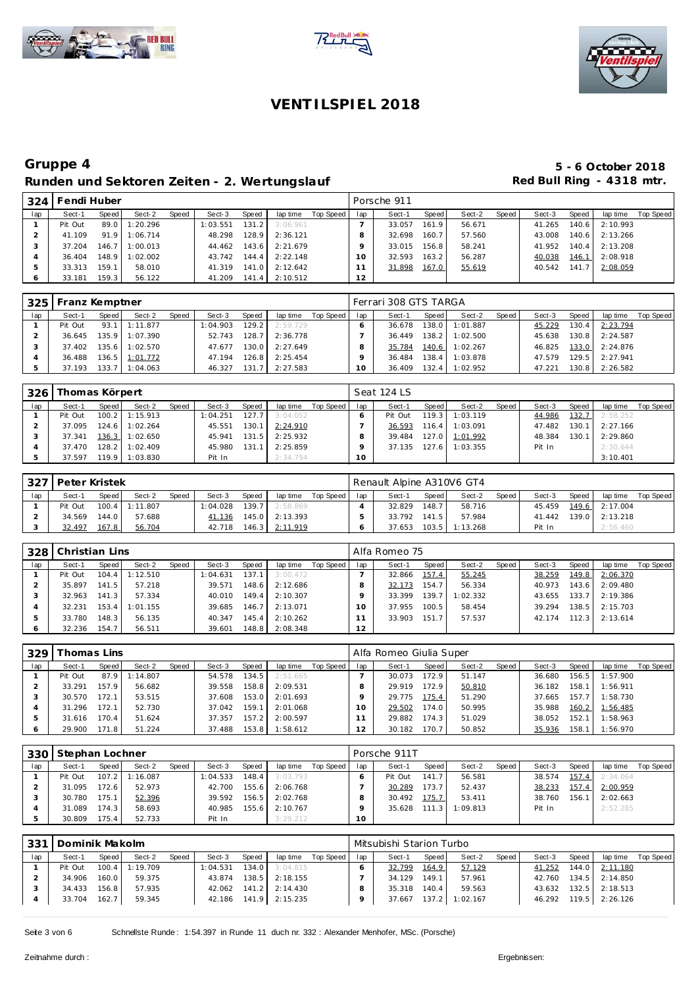





### **Gruppe 4 5 - 6 October 2018** Runden und Sektoren Zeiten - 2. Wertungslauf **Red Bull Ring - 4318 mtr.**

| 324 | Fendi Huber |       |          |       |          |        |          |           |     | Porsche 911 |       |        |       |        |       |          |           |
|-----|-------------|-------|----------|-------|----------|--------|----------|-----------|-----|-------------|-------|--------|-------|--------|-------|----------|-----------|
| lap | Sect-1      | Speed | Sect-2   | Speed | Sect-3   | Speed  | lap time | Top Speed | lap | Sect-1      | Speed | Sect-2 | Speed | Sect-3 | Speed | lap time | Top Speed |
|     | Pit Out     | 89.0  | 1:20.296 |       | 1:03.551 | 131.21 | 3:06.961 |           |     | 33.057      | 161.9 | 56.671 |       | 41.265 | 140.6 | 2:10.993 |           |
|     | 41.109      | 91.9  | 1:06.714 |       | 48.298   | 128.9  | 2:36.121 |           |     | 32.698      | 160.7 | 57.560 |       | 43.008 | 140.6 | 2:13.266 |           |
|     | 37.204      | 146.7 | 1:00.013 |       | 44.462   | 143.6  | 2:21.679 |           |     | 33.015      | 156.8 | 58.241 |       | 41.952 | 140.4 | 2:13.208 |           |
|     | 36.404      | 148.9 | 1:02.002 |       | 43.742   | 144.4  | 2:22.148 |           |     | 32.593      | 163.2 | 56.287 |       | 40.038 | 146.1 | 2:08.918 |           |
| Þ   | 33.313      | 159.1 | 58.010   |       | 41.319   | 141.0  | 2:12.642 |           |     | 31.898      | 167.0 | 55.619 |       | 40.542 | 141.7 | 2:08.059 |           |
|     | 33.181      | 159.3 | 56.122   |       | 41.209   | 141.4  | 2:10.512 |           | 12  |             |       |        |       |        |       |          |           |

| 325 | Franz Kemptner |       |                |       |          |        |          |           |     | Ferrari 308 GTS TARGA |       |          |       |        |       |                  |           |
|-----|----------------|-------|----------------|-------|----------|--------|----------|-----------|-----|-----------------------|-------|----------|-------|--------|-------|------------------|-----------|
| lap | Sect-1         | Speed | Sect-2         | Speed | Sect-3   | Speed  | lap time | Top Speed | lap | Sect-1                | Speed | Sect-2   | Speed | Sect-3 | Speed | lap time         | Top Speed |
|     | Pit Out        |       | 93.1 1:11.877  |       | 1:04.903 | 129.2  | 2:59.729 |           |     | 36.678                | 138.0 | 1:01.887 |       | 45.229 | 130.4 | 2:23.794         |           |
|     | 36.645         |       | 135.9 1:07.390 |       | 52.743   | 128.7  | 2:36.778 |           |     | 36.449                | 138.2 | 1:02.500 |       | 45.638 | 130.8 | 2:24.587         |           |
|     | 37.402         |       | 135.6 1:02.570 |       | 47.677   | 130.0  | 2:27.649 |           |     | 35.784                | 140.6 | 1:02.267 |       | 46.825 |       | 133.0 2:24.876   |           |
|     | 36.488         |       | 136.5 1:01.772 |       | 47.194   | 126.81 | 2:25.454 |           |     | 36.484                | 138.4 | 1:03.878 |       | 47.579 |       | 129.5 2:27.941   |           |
|     | 37.193         |       | 133.7 1:04.063 |       | 46.327   | 131.7  | 2:27.583 |           | 10  | 36.409                | 132.4 | 1:02.952 |       | 47.221 |       | $130.8$ 2:26.582 |           |

| 326 | Thomas Körpert |       |                  |       |          |       |          |           |     | Seat 124 LS |       |                |       |        |       |          |           |
|-----|----------------|-------|------------------|-------|----------|-------|----------|-----------|-----|-------------|-------|----------------|-------|--------|-------|----------|-----------|
| lap | Sect-1         | Speed | Sect-2           | Speed | Sect-3   | Speed | lap time | Top Speed | lap | Sect-1      | Speed | Sect-2         | Speed | Sect-3 | Speed | lap time | Top Speed |
|     | Pit Out        |       | $100.2$ 1:15.913 |       | 1:04.251 | 127.7 | 3:04.052 |           |     | Pit Out     | 119.3 | 1:03.119       |       | 44.986 | 132.7 | 2:58.252 |           |
|     | 37.095         |       | 124.6 1:02.264   |       | 45.551   | 130.1 | 2:24.910 |           |     | 36.593      | 116.4 | 1:03.091       |       | 47.482 | 130.1 | 2:27.166 |           |
|     | 37.341         |       | 136.3 1:02.650   |       | 45.941   | 131.5 | 2:25.932 |           |     | 39.484      |       | 127.0 1:01.992 |       | 48.384 | 130.1 | 2:29.860 |           |
|     | 37.470         |       | 128.2 1:02.409   |       | 45.980   | 131.1 | 2:25.859 |           |     | 37.135      | 127.6 | 1:03.355       |       | Pit In |       | 2:30.644 |           |
|     | 37.597         |       | 119.9 1:03.830   |       | Pit In   |       | 2:34.794 |           | 10  |             |       |                |       |        |       | 3:10.401 |           |

|     |        | 327   Peter Kristek<br>Speed<br>Speed<br>Speed<br>Sect-2<br>Sect-3<br>Sect-1<br>100.4 1:11.807<br>139.7<br>l: 04.028<br>Pit Out |        |  |        |       |          |           |     | Renault Alpine A310V6 GT4 |       |                  |       |        |       |                |           |
|-----|--------|---------------------------------------------------------------------------------------------------------------------------------|--------|--|--------|-------|----------|-----------|-----|---------------------------|-------|------------------|-------|--------|-------|----------------|-----------|
| lap |        |                                                                                                                                 |        |  |        |       | lap time | Top Speed | lap | Sect-1                    | Speed | Sect-2           | Speed | Sect-3 | Speed | lap time       | Top Speed |
|     |        |                                                                                                                                 |        |  |        |       | 2:58.869 |           |     | 32.829                    | 148.7 | 58.716           |       | 45.459 |       | 149.6 2:17.004 |           |
|     | 34.569 | 144.0                                                                                                                           | 57.688 |  | 41.136 | 145.0 | 2:13.393 |           |     | 33.792                    | 141.5 | 57.984           |       | 41.442 |       | 139.0 2:13.218 |           |
|     | 32.497 | 167.8                                                                                                                           | 56.704 |  | 42.718 | 146.3 | 2:11.919 |           |     | 37.653                    |       | $103.5$ 1:13.268 |       | Pit In |       | 2:56.460       |           |

| 328 | Christian Lins |         |          |       |          |       |          |           |     | Alfa Romeo 75 |       |          |       |        |       |          |           |
|-----|----------------|---------|----------|-------|----------|-------|----------|-----------|-----|---------------|-------|----------|-------|--------|-------|----------|-----------|
| lap | Sect-1         | Speed   | Sect-2   | Speed | Sect-3   | Speed | lap time | Top Speed | lap | Sect-1        | Speed | Sect-2   | Speed | Sect-3 | Speed | lap time | Top Speed |
|     | Pit Out        | 104.4   | 1:12.510 |       | 1:04.631 | 137.1 | 3:00.472 |           |     | 32.866        | 157.4 | 55.245   |       | 38.259 | 149.8 | 2:06.370 |           |
|     | 35.897         | 141.5 l | 57.218   |       | 39.571   | 148.6 | 2:12.686 |           |     | 32.173        | 154.7 | 56.334   |       | 40.973 | 143.6 | 2:09.480 |           |
|     | 32.963         | 141.3   | 57.334   |       | 40.010   | 149.4 | 2:10.307 |           |     | 33.399        | 139.7 | 1:02.332 |       | 43.655 | 133.7 | 2:19.386 |           |
|     | 32.231         | 153.4   | 1:01.155 |       | 39.685   | 146.7 | 2:13.071 |           | 10  | 37.955        | 100.5 | 58.454   |       | 39.294 | 138.5 | 2:15.703 |           |
|     | 33.780         | 148.3   | 56.135   |       | 40.347   | 145.4 | 2:10.262 |           |     | 33.903        | 151.7 | 57.537   |       | 42.174 | 112.3 | 2:13.614 |           |
|     | 32.236         | 154.7   | 56.511   |       | 39.601   | 148.8 | 2:08.348 |           | 12  |               |       |          |       |        |       |          |           |

| 329 | `homas Lins |         |          |       |        |       |          |           |     | Alfa Romeo Giulia Super |                    |        |       |        |       |          |           |
|-----|-------------|---------|----------|-------|--------|-------|----------|-----------|-----|-------------------------|--------------------|--------|-------|--------|-------|----------|-----------|
| lap | Sect-1      | Speed   | Sect-2   | Speed | Sect-3 | Speed | lap time | Top Speed | lap | Sect-1                  | Speed              | Sect-2 | Speed | Sect-3 | Speed | lap time | Top Speed |
|     | Pit Out     | 87.9    | 1:14.807 |       | 54.578 | 134.5 | 2:51.665 |           |     | 30.073                  | 172.9              | 51.147 |       | 36.680 | 156.5 | 1:57.900 |           |
|     | 33.291      | 157.9   | 56.682   |       | 39.558 | 158.8 | 2:09.531 |           |     | 29.919                  | 172.9              | 50.810 |       | 36.182 | 158.1 | 1:56.911 |           |
|     | 30.570      | 172.1   | 53.515   |       | 37.608 | 153.0 | 2:01.693 |           |     | 29.775                  | 175.4              | 51.290 |       | 37.665 | 157.7 | 1:58.730 |           |
|     | 31.296      | 172.1   | 52.730   |       | 37.042 | 159.1 | 2:01.068 |           |     | 29.502                  | 174.0              | 50.995 |       | 35.988 | 160.2 | 1:56.485 |           |
|     | 31.616      | 170.4   | 51.624   |       | 37.357 | 157.2 | 2:00.597 |           |     | 29.882                  | 174.3 <sub>1</sub> | 51.029 |       | 38.052 | 152.1 | 1:58.963 |           |
|     | 29.900      | 171.8 I | 51.224   |       | 37.488 | 153.8 | 1:58.612 |           | 12  | 30.182                  | 170.7              | 50.852 |       | 35.936 | 158.1 | 1:56.970 |           |

|     | 330 Stephan Lochner |         |          |       |          |       |          |           |     | Porsche 911T |       |          |       |        |       |          |           |
|-----|---------------------|---------|----------|-------|----------|-------|----------|-----------|-----|--------------|-------|----------|-------|--------|-------|----------|-----------|
| lap | Sect-1              | Speed   | Sect-2   | Speed | Sect-3   | Speed | lap time | Top Speed | lap | Sect-1       | Speed | Sect-2   | Speed | Sect-3 | Speed | lap time | Top Speed |
|     | Pit Out             | $107.2$ | 1:16.087 |       | 1:04.533 | 148.4 | 3:03.793 |           |     | Pit Out      | 141.7 | 56.581   |       | 38.574 | 157.4 | 2:34.064 |           |
|     | 31.095              | 72.6    | 52.973   |       | 42.700   | 155.6 | 2:06.768 |           |     | 30.289       | 173.7 | 52.437   |       | 38.233 | 157.4 | 2:00.959 |           |
|     | 30.780              | 175.1   | 52.396   |       | 39.592   | 156.5 | 2:02.768 |           |     | 30.492       | 175.7 | 53.411   |       | 38.760 | 156.1 | 2:02.663 |           |
|     | 31.089              | 174.31  | 58.693   |       | 40.985   | 155.6 | 2:10.767 |           |     | 35.628       | 111.3 | 1:09.813 |       | Pit In |       | 2:52.285 |           |
|     | 30.809              | 75.4    | 52.733   |       | Pit In   |       | 3:29.212 |           | 10  |              |       |          |       |        |       |          |           |

| . 331 | Dominik Makolm |       |                |       |                  |       |          |           |     | Mitsubishi Starion Turbo |       |          |       |        |       |          |           |
|-------|----------------|-------|----------------|-------|------------------|-------|----------|-----------|-----|--------------------------|-------|----------|-------|--------|-------|----------|-----------|
| lap   | Sect-1         | Speed | Sect-2         | Speed | Sect-3           | Speed | lap time | Top Speed | lap | Sect-1                   | Speed | Sect-2   | Speed | Sect-3 | Speed | lap time | Top Speed |
|       | Pit Out        |       | 100.4 1:19.709 |       | 1:04.531         | 134.0 | 3:04.815 |           |     | 32.799                   | 164.9 | 57.129   |       | 41.252 | 144.0 | 2:11.180 |           |
|       | 34.906         | 160.0 | 59.375         |       | 43.874           | 138.5 | 2:18.155 |           |     | 34.129                   | 149.1 | 57.961   |       | 42.760 | 134.5 | 2:14.850 |           |
|       | 34.433         | 156.8 | 57.935         |       | 42.062 141.2     |       | 2:14.430 |           |     | 35.318                   | 140.4 | 59.563   |       | 43.632 | 132.5 | 2:18.513 |           |
|       | 33.704         | 162.7 | 59.345         |       | $42.186$ $141.9$ |       | 2:15.235 |           |     | 37.667                   | 137.2 | 1:02.167 |       | 46.292 | 119.5 | 2:26.126 |           |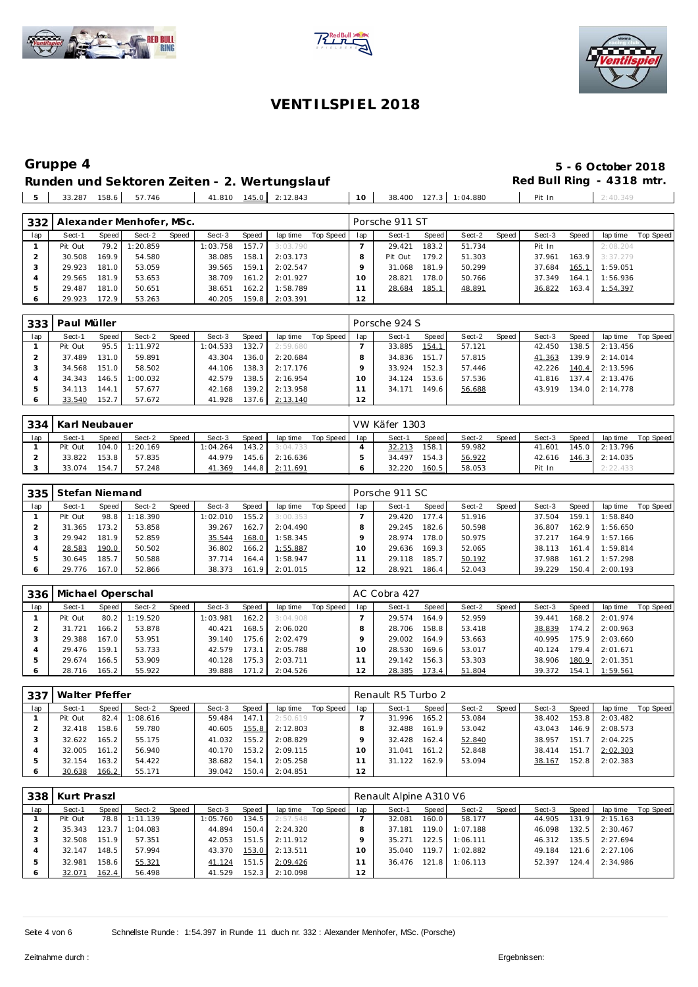





### Runden und Sektoren Zeiten - 2. Wertungslauf **Red Bull Ring - 4318 mtr.** 33.287 158.6 57.746 41.810 145.0 2:12.843 10 38.400 127.3 1:04.880 Pit In 2:40.349

**Gruppe 4 5 - 6 October 2018**

| 332 |         |       | Alexander Menhofer, MSc. |       |          |       |          |           |     | Porsche 911 ST |       |        |       |        |       |          |           |
|-----|---------|-------|--------------------------|-------|----------|-------|----------|-----------|-----|----------------|-------|--------|-------|--------|-------|----------|-----------|
| lap | Sect-1  | Speed | Sect-2                   | Speed | Sect-3   | Speed | lap time | Top Speed | lap | Sect-1         | Speed | Sect-2 | Speed | Sect-3 | Speed | lap time | Top Speed |
|     | Pit Out | 79.2  | 1:20.859                 |       | 1:03.758 | 157.7 | 3:03.790 |           |     | 29.421         | 183.2 | 51.734 |       | Pit In |       | 2:08.204 |           |
|     | 30.508  | 169.9 | 54.580                   |       | 38.085   | 158.1 | 2:03.173 |           |     | Pit Out        | 179.2 | 51.303 |       | 37.961 | 163.9 | 3:37.279 |           |
|     | 29.923  | 181.0 | 53.059                   |       | 39.565   | 159.1 | 2:02.547 |           |     | 31.068         | 181.9 | 50.299 |       | 37.684 | 165.1 | 1:59.051 |           |
|     | 29.565  | 181.9 | 53.653                   |       | 38.709   | 161.2 | 2:01.927 |           | 10  | 28.821         | 178.0 | 50.766 |       | 37.349 | 164.1 | 1:56.936 |           |
| 5   | 29.487  | 181.0 | 50.651                   |       | 38.651   | 162.2 | 1:58.789 |           |     | 28.684         | 185.1 | 48.891 |       | 36.822 | 163.4 | 1:54.397 |           |
| O   | 29.923  | 172.9 | 53.263                   |       | 40.205   | 159.8 | 2:03.391 |           | 12  |                |       |        |       |        |       |          |           |

| 333 | Paul Müller |           |          |       |          |       |          |           |     | Porsche 924 S |       |        |       |        |       |          |           |
|-----|-------------|-----------|----------|-------|----------|-------|----------|-----------|-----|---------------|-------|--------|-------|--------|-------|----------|-----------|
| lap | Sect-1      | Speed     | Sect-2   | Speed | Sect-3   | Speed | lap time | Top Speed | lap | Sect-1        | Speed | Sect-2 | Speed | Sect-3 | Speed | lap time | Top Speed |
|     | Pit Out     | 95.5      | 1:11.972 |       | 1:04.533 | 132.7 | 2:59.680 |           |     | 33.885        | 154.1 | 57.121 |       | 42.450 | 138.5 | 2:13.456 |           |
|     | 37.489      | 131.0     | 59.891   |       | 43.304   | 136.0 | 2:20.684 |           |     | 34.836        | 151.7 | 57.815 |       | 41.363 | 139.9 | 2:14.014 |           |
|     | 34.568      | 151.0     | 58.502   |       | 44.106   | 138.3 | 2:17.176 |           |     | 33.924        | 152.3 | 57.446 |       | 42.226 | 140.4 | 2:13.596 |           |
|     | 34.343      | $146.5$ 1 | 1:00.032 |       | 42.579   | 138.5 | 2:16.954 |           |     | 34.124        | 153.6 | 57.536 |       | 41.816 | 137.4 | 2:13.476 |           |
|     | 34.113      | 144.1     | 57.677   |       | 42.168   | 139.2 | 2:13.958 |           |     | 34.171        | 149.6 | 56.688 |       | 43.919 | 134.0 | 2:14.778 |           |
|     | 33.540      | 152.7     | 57.672   |       | 41.928   | 137.6 | 2:13.140 |           | 12  |               |       |        |       |        |       |          |           |

|     | 334   Karl Neubauer<br>Speed<br>Sect-2<br>Sect-1<br>Speed<br>Sect-3<br>Speed<br>lap time<br>$143.2$  <br>$104.0$ 1:20.169<br>Pit Out<br>1:04.264<br>3:04.733<br>145.6 2:16.636 |       |        |  |        |  |                |           |     | VW Käfer 1303 |       |        |       |        |       |                |           |
|-----|--------------------------------------------------------------------------------------------------------------------------------------------------------------------------------|-------|--------|--|--------|--|----------------|-----------|-----|---------------|-------|--------|-------|--------|-------|----------------|-----------|
| lap |                                                                                                                                                                                |       |        |  |        |  |                | Top Speed | lap | Sect-1        | Speed | Sect-2 | Speed | Sect-3 | Speed | lap time       | Top Speed |
|     |                                                                                                                                                                                |       |        |  |        |  |                |           |     | 32.213        | 158.1 | 59.982 |       | 41.601 |       | 145.0 2:13.796 |           |
|     | 33.822                                                                                                                                                                         | 153.8 | 57.835 |  | 44.979 |  |                |           |     | 34.497        | 154.3 | 56.922 |       | 42.616 |       | 146.3 2:14.035 |           |
|     | 33.074                                                                                                                                                                         | 154.7 | 57.248 |  | 41.369 |  | 144.8 2:11.691 |           |     | 32.220        | 160.5 | 58.053 |       | Pit In |       | 2:22.433       |           |

| 335 | Stefan Niemand |       |          |       |          |         |          |           |     | Porsche 911 SC |       |        |       |        |       |          |           |
|-----|----------------|-------|----------|-------|----------|---------|----------|-----------|-----|----------------|-------|--------|-------|--------|-------|----------|-----------|
| lap | Sect-1         | Speed | Sect-2   | Speed | Sect-3   | Speed   | lap time | Top Speed | lap | Sect-1         | Speed | Sect-2 | Speed | Sect-3 | Speed | lap time | Top Speed |
|     | Pit Out        | 98.8  | 1:18.390 |       | 1:02.010 | 155.2   | 3:00.353 |           |     | 29.420         | 177.4 | 51.916 |       | 37.504 | 159.1 | 1:58.840 |           |
|     | 31.365         | 73.2  | 53.858   |       | 39.267   | 162.71  | 2:04.490 |           |     | 29.245         | 182.6 | 50.598 |       | 36.807 | 162.9 | 1:56.650 |           |
|     | 29.942         | 181.9 | 52.859   |       | 35.544   | 168.0   | 1:58.345 |           |     | 28.974         | 178.0 | 50.975 |       | 37.217 | 164.9 | 1:57.166 |           |
|     | 28.583         | 190.0 | 50.502   |       | 36.802   | 166.2 l | 1:55.887 |           |     | 29.636         | 169.3 | 52.065 |       | 38.113 | 161.4 | 1:59.814 |           |
|     | 30.645         | 185.7 | 50.588   |       | 37.714   | 164.41  | 1:58.947 |           |     | 29.118         | 185.7 | 50.192 |       | 37.988 | 161.2 | 1:57.298 |           |
| O   | 29.776         | 167.0 | 52.866   |       | 38.373   | 161.9   | 2:01.015 |           |     | 28.921         | 186.4 | 52.043 |       | 39.229 | 150.4 | 2:00.193 |           |

| 336 | Michael Operschal |       |          |       |          |                    |          |           |     | AC Cobra 427 |       |        |         |        |       |          |           |
|-----|-------------------|-------|----------|-------|----------|--------------------|----------|-----------|-----|--------------|-------|--------|---------|--------|-------|----------|-----------|
| lap | Sect-1            | Speed | Sect-2   | Speed | Sect-3   | Speed              | lap time | Top Speed | lap | Sect-1       | Speed | Sect-2 | Speed I | Sect-3 | Speed | lap time | Top Speed |
|     | Pit Out           | 80.2  | 1:19.520 |       | : 03.981 | 162.2 <sub>1</sub> | 3:04.908 |           |     | 29.574       | 164.9 | 52.959 |         | 39.441 | 168.2 | 2:01.974 |           |
|     | 31.721            | 166.2 | 53.878   |       | 40.421   | 168.5              | 2:06.020 |           |     | 28.706       | 158.8 | 53.418 |         | 38.839 | 174.2 | 2:00.963 |           |
|     | 29.388            | 167.0 | 53.951   |       | 39.140   | 175.6              | 2:02.479 |           |     | 29.002       | 164.9 | 53.663 |         | 40.995 | 175.9 | 2:03.660 |           |
|     | 29.476            | 159.1 | 53.733   |       | 42.579   | 173.1              | 2:05.788 |           |     | 28.530       | 169.6 | 53.017 |         | 40.124 | 179.4 | 2:01.671 |           |
|     | 29.674            | 166.5 | 53.909   |       | 40.128   | 175.3              | 2:03.711 |           |     | 29.142       | 156.3 | 53.303 |         | 38.906 | 180.9 | 2:01.351 |           |
|     | 28.716            | 165.2 | 55.922   |       | 39.888   | 171.2              | 2:04.526 |           | 12  | 28.385       | 173.4 | 51.804 |         | 39.372 | 154.1 | 1:59.561 |           |

| 337 | Walter Pfeffer |       |          |       |        |       |          |           |     | Renault R5 Turbo 2 |       |        |       |        |       |          |           |
|-----|----------------|-------|----------|-------|--------|-------|----------|-----------|-----|--------------------|-------|--------|-------|--------|-------|----------|-----------|
| lap | Sect-1         | Speed | Sect-2   | Speed | Sect-3 | Speed | lap time | Top Speed | lap | Sect-1             | Speed | Sect-2 | Speed | Sect-3 | Speed | lap time | Top Speed |
|     | Pit Out        | 82.4  | 1:08.616 |       | 59.484 | 147.1 | 2:50.619 |           |     | 31.996             | 165.2 | 53.084 |       | 38.402 | 153.8 | 2:03.482 |           |
|     | 32.418         | 158.6 | 59.780   |       | 40.605 | 155.8 | 2:12.803 |           |     | 32.488             | 161.9 | 53.042 |       | 43.043 | 146.9 | 2:08.573 |           |
|     | 32.622         | 165.2 | 55.175   |       | 41.032 | 155.2 | 2:08.829 |           |     | 32.428             | 162.4 | 52.840 |       | 38.957 | 151.7 | 2:04.225 |           |
|     | 32.005         | 161.2 | 56.940   |       | 40.170 | 153.2 | 2:09.115 |           |     | 31.041             | 161.2 | 52.848 |       | 38.414 | 151.7 | 2:02.303 |           |
|     | 32.154         | 163.2 | 54.422   |       | 38.682 | 154.1 | 2:05.258 |           |     | 31.122             | 162.9 | 53.094 |       | 38.167 | 152.8 | 2:02.383 |           |
|     | 30.638         | 166.2 | 55.171   |       | 39.042 | 150.4 | 2:04.851 |           | 12  |                    |       |        |       |        |       |          |           |

|     | 338   Kurt Praszl |                    |          |       |         |       |          |           |     | Renault Alpine A310 V6 |       |          |       |        |       |          |           |
|-----|-------------------|--------------------|----------|-------|---------|-------|----------|-----------|-----|------------------------|-------|----------|-------|--------|-------|----------|-----------|
| lap | Sect-1            | Speed              | Sect-2   | Speed | Sect-3  | Speed | lap time | Top Speed | lap | Sect-1                 | Speed | Sect-2   | Speed | Sect-3 | Speed | lap time | Top Speed |
|     | Pit Out           | 78.8               | 1:11.139 |       | :05.760 | 134.5 | 2:57.548 |           |     | 32.081                 | 160.0 | 58.177   |       | 44.905 | 131.9 | 2:15.163 |           |
|     | 35.343            | 123.7 <sub>1</sub> | 1:04.083 |       | 44.894  | 150.4 | 2:24.320 |           |     | 37.181                 | 119.0 | 1:07.188 |       | 46.098 | 132.5 | 2:30.467 |           |
|     | 32.508            | 151.9              | 57.351   |       | 42.053  | 151.5 | 2:11.912 |           |     | 35.271                 | 122.5 | 1:06.111 |       | 46.312 | 135.5 | 2:27.694 |           |
|     | 32.147            | 148.5              | 57.994   |       | 43.370  | 153.0 | 2:13.511 |           |     | 35.040                 | 119.7 | 1:02.882 |       | 49.184 | 121.6 | 2:27.106 |           |
|     | 32.981            | 158.6              | 55.321   |       | 41.124  | 151.5 | 2:09.426 |           |     | 36.476                 | 121.8 | 1:06.113 |       | 52.397 | 124.4 | 2:34.986 |           |
|     | 32.071            | 162.4              | 56.498   |       | 41.529  | 152.3 | 2:10.098 |           | 12  |                        |       |          |       |        |       |          |           |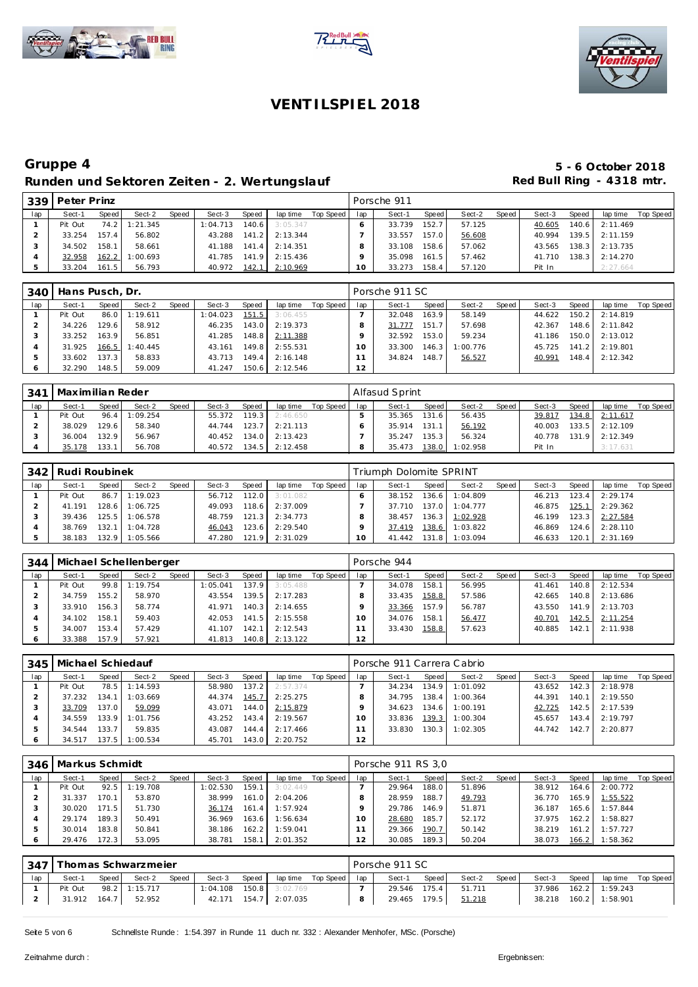





### **Gruppe 4 5 - 6 October 2018** Runden und Sektoren Zeiten - 2. Wertungslauf **Red Bull Ring - 4318 mtr.**

| 339 | Peter Prinz |       |          |       |          |               |          |           |        | Porsche 911 |       |        |        |        |       |          |           |
|-----|-------------|-------|----------|-------|----------|---------------|----------|-----------|--------|-------------|-------|--------|--------|--------|-------|----------|-----------|
| lap | Sect-1      | Speed | Sect-2   | Speed | Sect-3   | Speed         | lap time | Top Speed | lap    | Sect-1      | Speed | Sect-2 | Speed, | Sect-3 | Speed | lap time | Top Speed |
|     | Pit Out     | 74.2  | 1:21.345 |       | 1:04.713 | 140.6         | 3:05.347 |           |        | 33.739      | 152.7 | 57.125 |        | 40.605 | 140.6 | 2:11.469 |           |
|     | 33.254      | 157.4 | 56.802   |       | 43.288   | 141.2         | 2:13.344 |           |        | 33.557      | 157.0 | 56.608 |        | 40.994 | 139.5 | 2:11.159 |           |
|     | 34.502      | 158.1 | 58.661   |       | 41.188   | 141.4         | 2:14.351 |           |        | 33.108      | 158.6 | 57.062 |        | 43.565 | 138.3 | 2:13.735 |           |
|     | 32.958      | 162.2 | 1:00.693 |       | 41.785   | 141.9         | 2:15.436 |           |        | 35.098      | 161.5 | 57.462 |        | 41.710 | 138.3 | 2:14.270 |           |
|     | 33.204      | 161.5 | 56.793   |       | 40.972   | <u> 142.1</u> | 2:10.969 |           | $10-1$ | 33.273      | 158.4 | 57.120 |        | Pit In |       | 2:27.664 |           |

| 340 | Hans Pusch, Dr. |        |          |       |          |       |          |           |     | Porsche 911 SC |       |          |       |        |         |                |           |
|-----|-----------------|--------|----------|-------|----------|-------|----------|-----------|-----|----------------|-------|----------|-------|--------|---------|----------------|-----------|
| lap | Sect-1          | Speed  | Sect-2   | Speed | Sect-3   | Speed | lap time | Top Speed | lap | Sect-1         | Speed | Sect-2   | Speed | Sect-3 | Speed   | lap time       | Top Speed |
|     | Pit Out         | 86.0   | 1:19.611 |       | 1:04.023 | 151.5 | 3:06.455 |           |     | 32.048         | 163.9 | 58.149   |       | 44.622 | $150.2$ | 2:14.819       |           |
|     | 34.226          | 129.61 | 58.912   |       | 46.235   | 143.0 | 2:19.373 |           |     | 31.777         | 151.7 | 57.698   |       | 42.367 |         | 148.6 2:11.842 |           |
|     | 33.252          | 163.9  | 56.851   |       | 41.285   | 148.8 | 2:11.388 |           |     | 32.592         | 153.0 | 59.234   |       | 41.186 |         | 150.0 2:13.012 |           |
|     | 31.925          | 166.5  | : 40.445 |       | 43.161   | 149.8 | 2:55.531 |           |     | 33.300         | 146.3 | 1:00.776 |       | 45.725 |         | 141.2 2:19.801 |           |
|     | 33.602          | 137.3  | 58.833   |       | 43.713   | 149.4 | 2:16.148 |           |     | 34.824         | 148.7 | 56.527   |       | 40.991 | 148.4   | 2:12.342       |           |
|     | 32.290          | 148.5  | 59.009   |       | 41.247   | 150.6 | 2:12.546 |           | 12  |                |       |          |       |        |         |                |           |

| 341 | Maximilian Reder |       |               |       |        |       |          |           |     | Alfasud Sprint |       |          |       |        |       |          |           |
|-----|------------------|-------|---------------|-------|--------|-------|----------|-----------|-----|----------------|-------|----------|-------|--------|-------|----------|-----------|
| lap | Sect-1           | Speed | Sect-2        | Speed | Sect-3 | Speed | lap time | Top Speed | lap | Sect-1         | Speed | Sect-2   | Speed | Sect-3 | Speed | lap time | Top Speed |
|     | Pit Out          |       | 96.4 1:09.254 |       | 55.372 | 119.3 | 2:46.650 |           |     | 35.365         | 131.6 | 56.435   |       | 39.817 | 134.8 | 2:11.617 |           |
|     | 38.029           | 129.6 | 58.340        |       | 44.744 | 123.7 | 2:21.113 |           |     | 35.914         | 131.1 | 56.192   |       | 40.003 | 133.5 | 2:12.109 |           |
|     | 36.004           | 132.9 | 56.967        |       | 40.452 | 134.0 | 2:13.423 |           |     | 35.247         | 135.3 | 56.324   |       | 40.778 | 131.9 | 2:12.349 |           |
|     | 35.178           | 133.1 | 56.708        |       | 40.572 | 134.5 | 2:12.458 |           |     | 35.473         | 138.0 | 1:02.958 |       | Pit In |       | 3:17.631 |           |

| 342 | Rudi Roubinek |       |          |       |        |        |          |           |     | Triumph Dolomite SPRINT |       |          |       |        |       |          |           |
|-----|---------------|-------|----------|-------|--------|--------|----------|-----------|-----|-------------------------|-------|----------|-------|--------|-------|----------|-----------|
| lap | Sect-1        | Speed | Sect-2   | Speed | Sect-3 | Speed  | lap time | Top Speed | lap | Sect-1                  | Speed | Sect-2   | Speed | Sect-3 | Speed | lap time | Top Speed |
|     | Pit Out       | 86.7  | 1:19.023 |       | 56.712 | 112.0  | 3:01.082 |           |     | 38.152                  | 136.6 | 1:04.809 |       | 46.213 | 123.4 | 2:29.174 |           |
|     | 41.191        | 128.6 | 1:06.725 |       | 49.093 | 118.6  | 2:37.009 |           |     | 37.710                  | 137.0 | 1:04.777 |       | 46.875 | 125.1 | 2:29.362 |           |
|     | 39.436        | 125.5 | 1:06.578 |       | 48.759 | 121.3  | 2:34.773 |           |     | 38.457                  | 136.3 | 1:02.928 |       | 46.199 | 123.3 | 2:27.584 |           |
|     | 38.769        | 132.1 | 1:04.728 |       | 46.043 | 123.61 | 2:29.540 |           |     | 37.419                  | 138.6 | 1:03.822 |       | 46.869 | 124.6 | 2:28.110 |           |
|     | 38.183        | 132.9 | 1:05.566 |       | 47.280 | 121.9  | 2:31.029 |           | 10  | 41.442                  | 131.8 | 1:03.094 |       | 46.633 | 120.1 | 2:31.169 |           |

| 344 |         |       | Michael Schellenberger |       |          |       |          |           |     | Porsche 944 |       |        |         |        |       |          |           |
|-----|---------|-------|------------------------|-------|----------|-------|----------|-----------|-----|-------------|-------|--------|---------|--------|-------|----------|-----------|
| lap | Sect-1  | Speed | Sect-2                 | Speed | Sect-3   | Speed | lap time | Top Speed | lap | Sect-1      | Speed | Sect-2 | Speed I | Sect-3 | Speed | lap time | Top Speed |
|     | Pit Out |       | 99.8 1:19.754          |       | : 05.041 | 137.9 | 3:05.488 |           |     | 34.078      | 158.1 | 56.995 |         | 41.461 | 140.8 | 2:12.534 |           |
|     | 34.759  | 155.2 | 58.970                 |       | 43.554   | 139.5 | 2:17.283 |           |     | 33.435      | 158.8 | 57.586 |         | 42.665 | 140.8 | 2:13.686 |           |
|     | 33.910  | 156.3 | 58.774                 |       | 41.971   | 140.3 | 2:14.655 |           |     | 33.366      | 157.9 | 56.787 |         | 43.550 | 141.9 | 2:13.703 |           |
|     | 34.102  | 158.1 | 59.403                 |       | 42.053   | 141.5 | 2:15.558 |           |     | 34.076      | 158.1 | 56.477 |         | 40.701 | 142.5 | 2:11.254 |           |
|     | 34.007  | 153.4 | 57.429                 |       | 41.107   | 142.1 | 2:12.543 |           |     | 33.430      | 158.8 | 57.623 |         | 40.885 | 142.1 | 2:11.938 |           |
|     | 33.388  | 157.9 | 57.921                 |       | 41.813   | 140.8 | 2:13.122 |           | 12  |             |       |        |         |        |       |          |           |

|     | 345   Michael Schiedauf |         |          |       |        |       |          |           |     | Porsche 911 Carrera Cabrio |       |          |       |        |       |          |           |
|-----|-------------------------|---------|----------|-------|--------|-------|----------|-----------|-----|----------------------------|-------|----------|-------|--------|-------|----------|-----------|
| lap | Sect-1                  | Speed   | Sect-2   | Speed | Sect-3 | Speed | lap time | Top Speed | lap | Sect-1                     | Speed | Sect-2   | Speed | Sect-3 | Speed | lap time | Top Speed |
|     | Pit Out                 | 78.5    | 1:14.593 |       | 58.980 | 137.2 | 2:57.374 |           |     | 34.234                     | 134.9 | 1:01.092 |       | 43.652 | 142.3 | 2:18.978 |           |
|     | 37.232                  | 134.1   | 1:03.669 |       | 44.374 | 145.7 | 2:25.275 |           |     | 34.795                     | 138.4 | 1:00.364 |       | 44.391 | 140.1 | 2:19.550 |           |
|     | 33.709                  | 137.O I | 59.099   |       | 43.071 | 144.0 | 2:15.879 |           |     | 34.623                     | 134.6 | 1:00.191 |       | 42.725 | 142.5 | 2:17.539 |           |
|     | 34.559                  | 133.9   | 1:01.756 |       | 43.252 | 143.4 | 2:19.567 |           |     | 33.836                     | 139.3 | 1:00.304 |       | 45.657 | 143.4 | 2:19.797 |           |
|     | 34.544                  | 133.7   | 59.835   |       | 43.087 | 144.4 | 2:17.466 |           |     | 33.830                     | 130.3 | 1:02.305 |       | 44.742 | 142.7 | 2:20.877 |           |
|     | 34.517                  | 137.5   | 1:00.534 |       | 45.701 | 143.0 | 2:20.752 |           | 12  |                            |       |          |       |        |       |          |           |

| 346 | Markus Schmidt |        |          |       |          |       |          |           |     | Porsche 911 RS 3.0 |                    |        |       |        |                    |          |           |
|-----|----------------|--------|----------|-------|----------|-------|----------|-----------|-----|--------------------|--------------------|--------|-------|--------|--------------------|----------|-----------|
| lap | Sect-1         | Speed  | Sect-2   | Speed | Sect-3   | Speed | lap time | Top Speed | lap | Sect-1             | Speed              | Sect-2 | Speed | Sect-3 | Speed              | lap time | Top Speed |
|     | Pit Out        | 92.5   | 1:19.708 |       | 1:02.530 | 159.1 | 3:02.449 |           |     | 29.964             | 188.0              | 51.896 |       | 38.912 | 164.6              | 2:00.772 |           |
|     | 31.337         | 170.11 | 53.870   |       | 38.999   | 161.0 | 2:04.206 |           |     | 28.959             | 188.7 <sub>1</sub> | 49.793 |       | 36.770 | 165.9              | 1:55.522 |           |
|     | 30.020         | 171.5  | 51.730   |       | 36.174   | 161.4 | 1:57.924 |           |     | 29.786             | 146.9              | 51.871 |       | 36.187 | 165.6              | 1:57.844 |           |
|     | 29.174         | 189.3  | 50.491   |       | 36.969   | 163.6 | 1:56.634 |           | Ω   | 28.680             | 185.7              | 52.172 |       | 37.975 | 162.2 <sub>1</sub> | 1:58.827 |           |
|     | 30.014         | 183.8  | 50.841   |       | 38.186   | 162.2 | 1:59.041 |           |     | 29.366             | 190.7              | 50.142 |       | 38.219 | 161.2              | 1:57.727 |           |
|     | 29.476         | 172.3  | 53.095   |       | 38.781   | 158.1 | 2:01.352 |           |     | 30.085             | 189.3              | 50.204 |       | 38.073 | 166.2              | 1:58.362 |           |

| 347 |         |       | Thomas Schwarzmeier |       |          |       |                  |           |     | Porsche 911 SC |       |        |         |        |       |                |           |
|-----|---------|-------|---------------------|-------|----------|-------|------------------|-----------|-----|----------------|-------|--------|---------|--------|-------|----------------|-----------|
| lap | Sect-1  | Speed | Sect-2              | Speed | Sect-3   | Speed | lap time         | Top Speed | lap | Sect-1         | Speed | Sect-2 | Speed i | Sect-3 | Speed | lap time       | Top Speed |
|     | Pit Out |       | 98.2 1:15.717       |       | 1:04.108 | 150.8 | 3:02.769         |           |     | 29.546         | 175.4 | 51.711 |         | 37.986 |       | 162.2 1:59.243 |           |
|     | 31.912  | 164.7 | 52.952              |       | 42.171   |       | $154.7$ 2:07.035 |           |     | 29.465         | 179.5 | 51.218 |         | 38.218 |       | 160.2 1:58.901 |           |